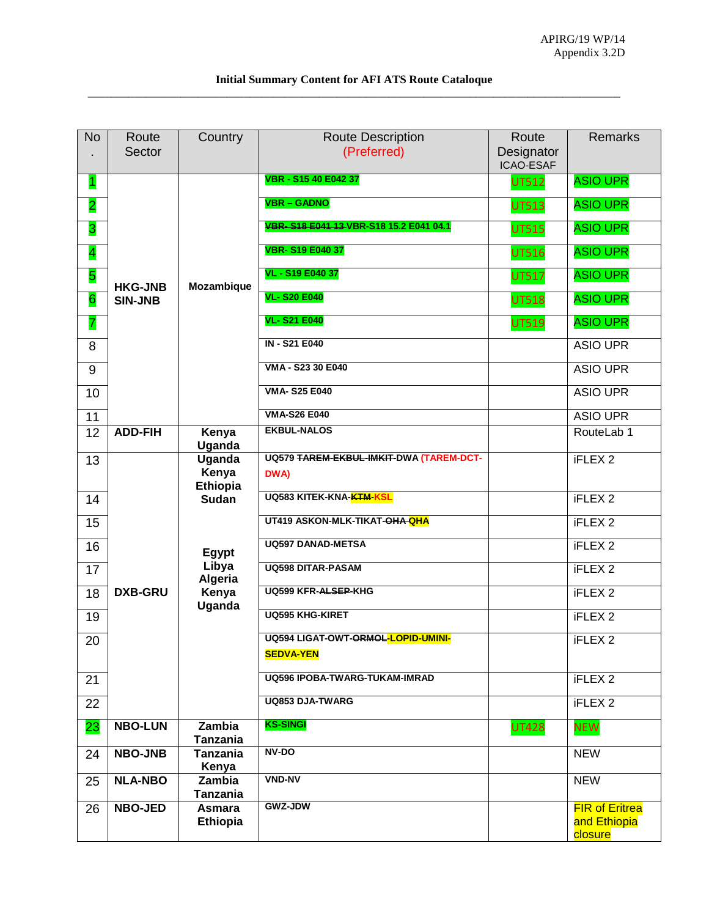| <b>No</b>               | Route<br>Sector                                                                        | Country                   | <b>Route Description</b><br>(Preferred) | Route<br>Designator<br>ICAO-ESAF | <b>Remarks</b>                                   |
|-------------------------|----------------------------------------------------------------------------------------|---------------------------|-----------------------------------------|----------------------------------|--------------------------------------------------|
| 1                       |                                                                                        |                           | VBR - S15 40 E042 37                    | <b>UT512</b>                     | <b>ASIO UPR</b>                                  |
| $\overline{2}$          |                                                                                        |                           | <b>VBR - GADNO</b>                      | <b>UT513</b>                     | <b>ASIO UPR</b>                                  |
| 3                       |                                                                                        |                           | VBR-S18 E041 13 VBR-S18 15.2 E041 04.1  | <b>UT515</b>                     | <b>ASIO UPR</b>                                  |
| $\overline{\mathbf{4}}$ |                                                                                        |                           | <b>VBR-S19 E040 37</b>                  | <b>UT516</b>                     | <b>ASIO UPR</b>                                  |
| 5                       | <b>HKG-JNB</b>                                                                         | Mozambique                | VL - S19 E040 37                        | <b>UT517</b>                     | <b>ASIO UPR</b>                                  |
| 6                       | <b>SIN-JNB</b>                                                                         |                           | <b>VL-S20 E040</b>                      | <b>UT518</b>                     | <b>ASIO UPR</b>                                  |
| 7                       |                                                                                        |                           | <b>VL-S21 E040</b>                      | <b>UT519</b>                     | <b>ASIO UPR</b>                                  |
| 8                       |                                                                                        |                           | <b>IN - S21 E040</b>                    |                                  | <b>ASIO UPR</b>                                  |
| 9                       |                                                                                        |                           | VMA - S23 30 E040                       |                                  | <b>ASIO UPR</b>                                  |
| 10                      |                                                                                        |                           | <b>VMA-S25 E040</b>                     |                                  | <b>ASIO UPR</b>                                  |
| 11                      |                                                                                        |                           | <b>VMA-S26 E040</b>                     |                                  | <b>ASIO UPR</b>                                  |
| 12                      | <b>ADD-FIH</b>                                                                         | Kenya<br><b>Uganda</b>    | <b>EKBUL-NALOS</b>                      |                                  | RouteLab 1                                       |
| 13                      | <b>Uganda</b><br>Kenya<br><b>Ethiopia</b><br><b>Sudan</b><br>Egypt<br>Libya<br>Algeria |                           | UQ579 TAREM-EKBUL-IMKIT-DWA (TAREM-DCT- |                                  | <b>iFLEX 2</b>                                   |
|                         |                                                                                        |                           | DWA)                                    |                                  |                                                  |
| 14                      |                                                                                        |                           | UQ583 KITEK-KNA-KTM-KSL                 |                                  | iFLEX <sub>2</sub>                               |
| 15                      |                                                                                        |                           | UT419 ASKON-MLK-TIKAT-OHA QHA           |                                  | <b>iFLEX 2</b>                                   |
| 16                      |                                                                                        | <b>UQ597 DANAD-METSA</b>  |                                         | <b>iFLEX 2</b>                   |                                                  |
| 17                      |                                                                                        |                           | <b>UQ598 DITAR-PASAM</b>                |                                  | <b>iFLEX 2</b>                                   |
| 18                      | <b>DXB-GRU</b>                                                                         | Kenya                     | <b>UQ599 KFR-ALSEP-KHG</b>              |                                  | iFLEX <sub>2</sub>                               |
| 19                      |                                                                                        | <b>Uganda</b>             | <b>UQ595 KHG-KIRET</b>                  |                                  | <b>iFLEX 2</b>                                   |
| 20                      |                                                                                        |                           | UQ594 LIGAT-OWT-ORMOL-LOPID-UMINI-      |                                  | <b>iFLEX 2</b>                                   |
|                         |                                                                                        |                           | <b>SEDVA-YEN</b>                        |                                  |                                                  |
| 21                      |                                                                                        |                           | UQ596 IPOBA-TWARG-TUKAM-IMRAD           |                                  | iFLEX 2                                          |
| 22                      |                                                                                        |                           | <b>UQ853 DJA-TWARG</b>                  |                                  | <b>iFLEX 2</b>                                   |
| 23                      | <b>NBO-LUN</b>                                                                         | Zambia<br><b>Tanzania</b> | <b>KS-SINGI</b>                         | <b>UT428</b>                     | <b>NEW</b>                                       |
| 24                      | <b>NBO-JNB</b>                                                                         | <b>Tanzania</b><br>Kenya  | NV-DO                                   |                                  | <b>NEW</b>                                       |
| 25                      | <b>NLA-NBO</b>                                                                         | <b>Zambia</b>             | <b>VND-NV</b>                           |                                  | <b>NEW</b>                                       |
|                         |                                                                                        | <b>Tanzania</b>           | <b>GWZ-JDW</b>                          |                                  |                                                  |
| 26                      | <b>NBO-JED</b>                                                                         | Asmara<br>Ethiopia        |                                         |                                  | <b>FIR of Eritrea</b><br>and Ethiopia<br>closure |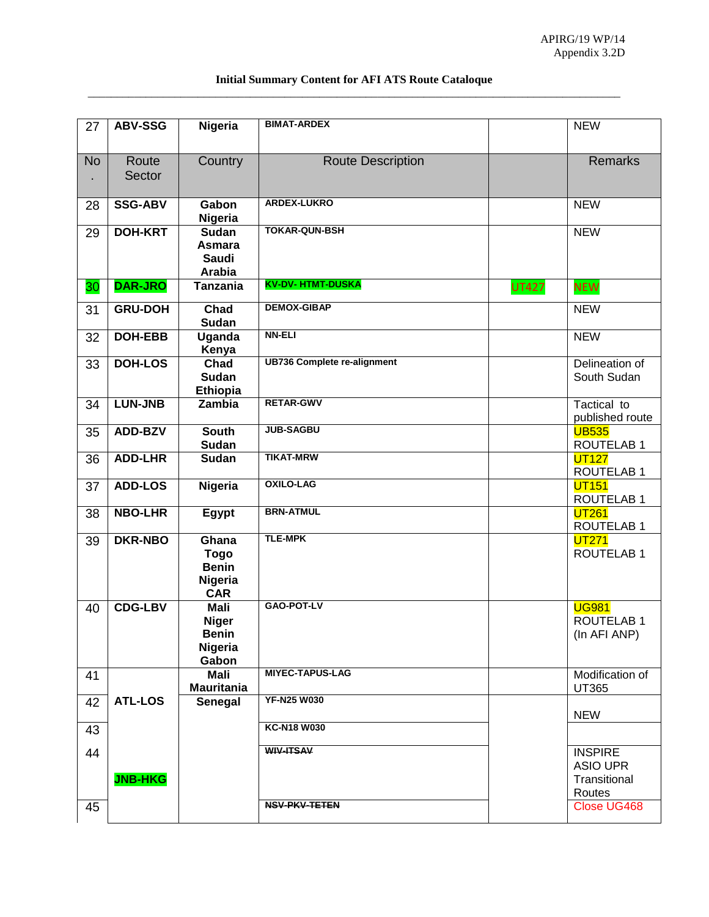| Content for AFI ATS Route (<br>ır<br>nmarv |
|--------------------------------------------|
|                                            |

| 27        | <b>ABV-SSG</b>  | Nigeria                                                                | <b>BIMAT-ARDEX</b>                 |              | <b>NEW</b>                                        |
|-----------|-----------------|------------------------------------------------------------------------|------------------------------------|--------------|---------------------------------------------------|
| <b>No</b> | Route<br>Sector | Country                                                                | <b>Route Description</b>           |              | <b>Remarks</b>                                    |
| 28        | <b>SSG-ABV</b>  | Gabon<br>Nigeria                                                       | <b>ARDEX-LUKRO</b>                 |              | <b>NEW</b>                                        |
| 29        | <b>DOH-KRT</b>  | <b>Sudan</b><br><b>Asmara</b><br><b>Saudi</b><br><b>Arabia</b>         | <b>TOKAR-QUN-BSH</b>               |              | <b>NEW</b>                                        |
| 30        | <b>DAR-JRO</b>  | <b>Tanzania</b>                                                        | <b>KV-DV- HTMT-DUSKA</b>           | <b>UT427</b> | <b>NEW</b>                                        |
| 31        | <b>GRU-DOH</b>  | Chad<br><b>Sudan</b>                                                   | <b>DEMOX-GIBAP</b>                 |              | <b>NEW</b>                                        |
| 32        | <b>DOH-EBB</b>  | <b>Uganda</b><br>Kenya                                                 | <b>NN-ELI</b>                      |              | <b>NEW</b>                                        |
| 33        | <b>DOH-LOS</b>  | Chad<br><b>Sudan</b><br><b>Ethiopia</b>                                | <b>UB736 Complete re-alignment</b> |              | Delineation of<br>South Sudan                     |
| 34        | LUN-JNB         | <b>Zambia</b>                                                          | <b>RETAR-GWV</b>                   |              | Tactical to<br>published route                    |
| 35        | ADD-BZV         | <b>South</b><br><b>Sudan</b>                                           | <b>JUB-SAGBU</b>                   |              | <b>UB535</b><br><b>ROUTELAB1</b>                  |
| 36        | <b>ADD-LHR</b>  | <b>Sudan</b>                                                           | <b>TIKAT-MRW</b>                   |              | <b>UT127</b><br><b>ROUTELAB1</b>                  |
| 37        | <b>ADD-LOS</b>  | Nigeria                                                                | <b>OXILO-LAG</b>                   |              | <b>UT151</b><br><b>ROUTELAB1</b>                  |
| 38        | <b>NBO-LHR</b>  | Egypt                                                                  | <b>BRN-ATMUL</b>                   |              | <b>UT261</b><br><b>ROUTELAB1</b>                  |
| 39        | <b>DKR-NBO</b>  | Ghana<br><b>Togo</b><br><b>Benin</b><br>Nigeria<br><b>CAR</b>          | <b>TLE-MPK</b>                     |              | <b>UT271</b><br><b>ROUTELAB1</b>                  |
| 40        | <b>CDG-LBV</b>  | <b>Mali</b><br><b>Niger</b><br><b>Benin</b><br><b>Nigeria</b><br>Gabon | <b>GAO-POT-LV</b>                  |              | <b>UG981</b><br><b>ROUTELAB1</b><br>(In AFI ANP)  |
| 41        |                 | <b>Mali</b><br><b>Mauritania</b>                                       | <b>MIYEC-TAPUS-LAG</b>             |              | Modification of<br>UT365                          |
| 42        | <b>ATL-LOS</b>  | <b>Senegal</b>                                                         | <b>YF-N25 W030</b>                 |              | <b>NEW</b>                                        |
| 43        |                 |                                                                        | <b>KC-N18 W030</b>                 |              |                                                   |
| 44        | <b>JNB-HKG</b>  |                                                                        | <b>WIV-ITSAV</b>                   |              | <b>INSPIRE</b><br><b>ASIO UPR</b><br>Transitional |
| 45        |                 |                                                                        | <b>NSV-PKV-TETEN</b>               |              | Routes<br>Close UG468                             |
|           |                 |                                                                        |                                    |              |                                                   |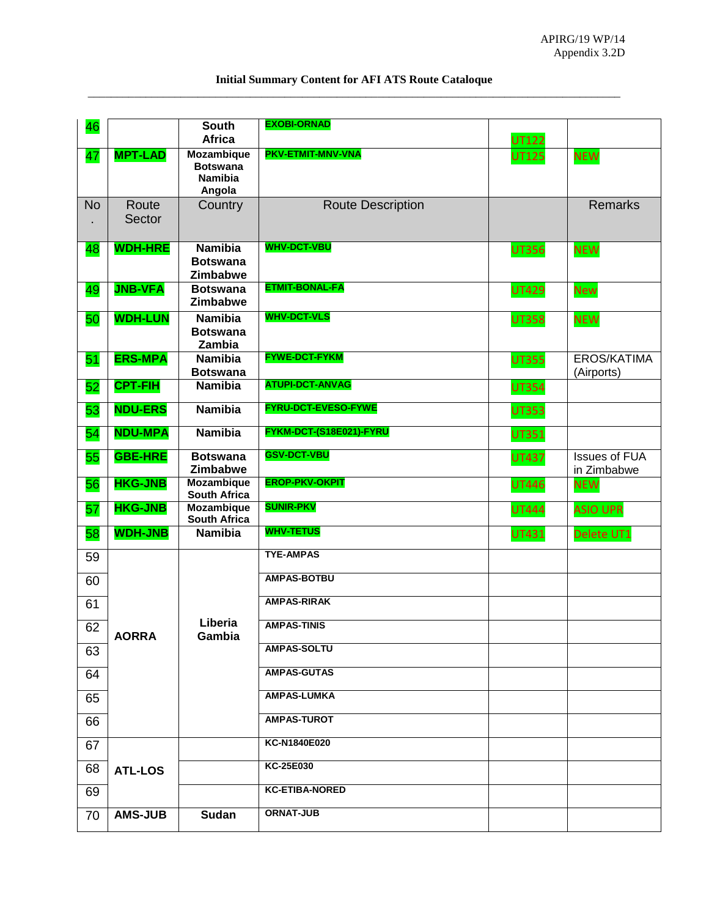| Content for AFI ATS Route (<br>ır<br>nmarv |
|--------------------------------------------|
|                                            |

| 46        |                 | <b>South</b><br><b>Africa</b>                                    | <b>EXOBI-ORNAD</b>       | <b>UT122</b> |                                     |
|-----------|-----------------|------------------------------------------------------------------|--------------------------|--------------|-------------------------------------|
| 47        | <b>MPT-LAD</b>  | <b>Mozambique</b><br><b>Botswana</b><br><b>Namibia</b><br>Angola | PKV-ETMIT-MNV-VNA        | <b>UT125</b> | <b>NEW</b>                          |
| <b>No</b> | Route<br>Sector | Country                                                          | <b>Route Description</b> |              | <b>Remarks</b>                      |
| 48        | <b>WDH-HRE</b>  | <b>Namibia</b><br><b>Botswana</b><br>Zimbabwe                    | <b>WHV-DCT-VBU</b>       | <b>UT356</b> | <b>NEW</b>                          |
| 49        | <b>JNB-VFA</b>  | <b>Botswana</b><br>Zimbabwe                                      | <b>ETMIT-BONAL-FA</b>    | <b>UT429</b> | <b>New</b>                          |
| 50        | <b>WDH-LUN</b>  | <b>Namibia</b><br><b>Botswana</b><br>Zambia                      | <b>WHV-DCT-VLS</b>       | <b>UT358</b> | <b>NEW</b>                          |
| 51        | <b>ERS-MPA</b>  | <b>Namibia</b><br><b>Botswana</b>                                | <b>FYWE-DCT-FYKM</b>     | <b>UT355</b> | <b>EROS/KATIMA</b><br>(Airports)    |
| 52        | <b>CPT-FIH</b>  | <b>Namibia</b>                                                   | <b>ATUPI-DCT-ANVAG</b>   | <b>UT354</b> |                                     |
| 53        | <b>NDU-ERS</b>  | <b>Namibia</b>                                                   | FYRU-DCT-EVESO-FYWE      | <b>UT353</b> |                                     |
| 54        | <b>NDU-MPA</b>  | <b>Namibia</b>                                                   | FYKM-DCT-(S18E021)-FYRU  | <b>UT351</b> |                                     |
| 55        | <b>GBE-HRE</b>  | <b>Botswana</b><br>Zimbabwe                                      | <b>GSV-DCT-VBU</b>       | <b>UT437</b> | <b>Issues of FUA</b><br>in Zimbabwe |
| 56        | <b>HKG-JNB</b>  | <b>Mozambique</b><br><b>South Africa</b>                         | <b>EROP-PKV-OKPIT</b>    | <b>UT446</b> | <b>NEW</b>                          |
| 57        | <b>HKG-JNB</b>  | <b>Mozambique</b><br><b>South Africa</b>                         | <b>SUNIR-PKV</b>         | <b>UT444</b> | <b>ASIO UPR</b>                     |
| 58        | <b>WDH-JNB</b>  | <b>Namibia</b>                                                   | <b>WHV-TETUS</b>         | <b>UT431</b> | Delete UT1                          |
| 59        |                 |                                                                  | <b>TYE-AMPAS</b>         |              |                                     |
| 60        |                 |                                                                  | <b>AMPAS-BOTBU</b>       |              |                                     |
| 61        |                 |                                                                  | <b>AMPAS-RIRAK</b>       |              |                                     |
| 62        | <b>AORRA</b>    | Liberia<br>Gambia                                                | <b>AMPAS-TINIS</b>       |              |                                     |
| 63        |                 |                                                                  | <b>AMPAS-SOLTU</b>       |              |                                     |
| 64        |                 |                                                                  | <b>AMPAS-GUTAS</b>       |              |                                     |
| 65        |                 |                                                                  | <b>AMPAS-LUMKA</b>       |              |                                     |
| 66        |                 |                                                                  | <b>AMPAS-TUROT</b>       |              |                                     |
| 67        |                 |                                                                  | KC-N1840E020             |              |                                     |
| 68        | <b>ATL-LOS</b>  |                                                                  | <b>KC-25E030</b>         |              |                                     |
| 69        |                 |                                                                  | <b>KC-ETIBA-NORED</b>    |              |                                     |
| 70        | <b>AMS-JUB</b>  | Sudan                                                            | <b>ORNAT-JUB</b>         |              |                                     |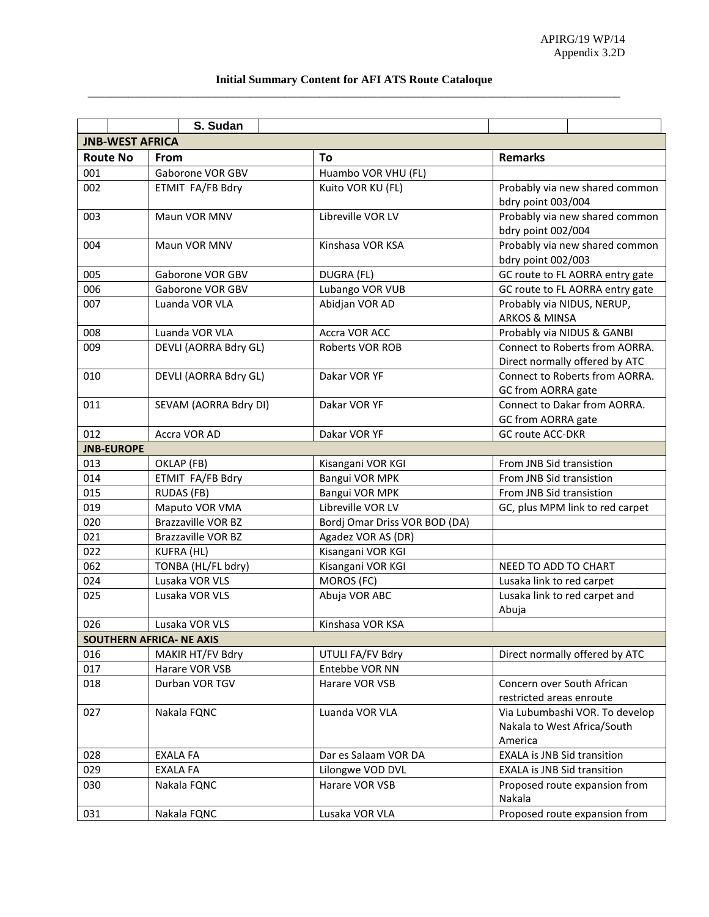#### **Initial Summary Content for AFI ATS Route Cataloque**  \_\_\_\_\_\_\_\_\_\_\_\_\_\_\_\_\_\_\_\_\_\_\_\_\_\_\_\_\_\_\_\_\_\_\_\_\_\_\_\_\_\_\_\_\_\_\_\_\_\_\_\_\_\_\_\_\_\_\_\_\_\_\_\_\_\_\_\_\_\_\_\_\_\_\_\_\_\_\_\_\_\_\_\_\_\_\_\_\_\_\_\_

|                        | S. Sudan                        |                               |                                                                          |  |  |
|------------------------|---------------------------------|-------------------------------|--------------------------------------------------------------------------|--|--|
| <b>JNB-WEST AFRICA</b> |                                 |                               |                                                                          |  |  |
| <b>Route No</b>        | <b>From</b>                     | To                            | <b>Remarks</b>                                                           |  |  |
| 001                    | Gaborone VOR GBV                | Huambo VOR VHU (FL)           |                                                                          |  |  |
| 002                    | ETMIT FA/FB Bdry                | Kuito VOR KU (FL)             | Probably via new shared common<br>bdry point 003/004                     |  |  |
| 003                    | Maun VOR MNV                    | Libreville VOR LV             | Probably via new shared common<br>bdry point 002/004                     |  |  |
| 004                    | Maun VOR MNV                    | Kinshasa VOR KSA              | Probably via new shared common<br>bdry point 002/003                     |  |  |
| 005                    | Gaborone VOR GBV                | DUGRA (FL)                    | GC route to FL AORRA entry gate                                          |  |  |
| 006                    | Gaborone VOR GBV                | Lubango VOR VUB               | GC route to FL AORRA entry gate                                          |  |  |
| 007                    | Luanda VOR VLA                  | Abidjan VOR AD                | Probably via NIDUS, NERUP,<br><b>ARKOS &amp; MINSA</b>                   |  |  |
| 008                    | Luanda VOR VLA                  | Accra VOR ACC                 | Probably via NIDUS & GANBI                                               |  |  |
| 009                    | DEVLI (AORRA Bdry GL)           | <b>Roberts VOR ROB</b>        | Connect to Roberts from AORRA.<br>Direct normally offered by ATC         |  |  |
| 010                    | DEVLI (AORRA Bdry GL)           | Dakar VOR YF                  | Connect to Roberts from AORRA.<br>GC from AORRA gate                     |  |  |
| 011                    | SEVAM (AORRA Bdry DI)           | Dakar VOR YF                  | Connect to Dakar from AORRA.<br>GC from AORRA gate                       |  |  |
| 012                    | Accra VOR AD                    | Dakar VOR YF                  | <b>GC route ACC-DKR</b>                                                  |  |  |
| <b>JNB-EUROPE</b>      |                                 |                               |                                                                          |  |  |
| 013                    | OKLAP (FB)                      | Kisangani VOR KGI             | From JNB Sid transistion                                                 |  |  |
| 014                    | ETMIT FA/FB Bdry                | Bangui VOR MPK                | From JNB Sid transistion                                                 |  |  |
| 015                    | <b>RUDAS (FB)</b>               | Bangui VOR MPK                | From JNB Sid transistion                                                 |  |  |
| 019                    | Maputo VOR VMA                  | Libreville VOR LV             | GC, plus MPM link to red carpet                                          |  |  |
| 020                    | Brazzaville VOR BZ              | Bordj Omar Driss VOR BOD (DA) |                                                                          |  |  |
| 021                    | <b>Brazzaville VOR BZ</b>       | Agadez VOR AS (DR)            |                                                                          |  |  |
| 022                    | <b>KUFRA (HL)</b>               | Kisangani VOR KGI             |                                                                          |  |  |
| 062                    | TONBA (HL/FL bdry)              | Kisangani VOR KGI             | NEED TO ADD TO CHART                                                     |  |  |
| 024                    | Lusaka VOR VLS                  | MOROS (FC)                    | Lusaka link to red carpet                                                |  |  |
| 025                    | Lusaka VOR VLS                  | Abuja VOR ABC                 | Lusaka link to red carpet and<br>Abuja                                   |  |  |
| 026                    | Lusaka VOR VLS                  | Kinshasa VOR KSA              |                                                                          |  |  |
|                        | <b>SOUTHERN AFRICA- NE AXIS</b> |                               |                                                                          |  |  |
| 016                    | MAKIR HT/FV Bdry                | UTULI FA/FV Bdry              | Direct normally offered by ATC                                           |  |  |
| 017                    | Harare VOR VSB                  | Entebbe VOR NN                |                                                                          |  |  |
| 018                    | Durban VOR TGV                  | Harare VOR VSB                | Concern over South African<br>restricted areas enroute                   |  |  |
| 027                    | Nakala FQNC                     | Luanda VOR VLA                | Via Lubumbashi VOR. To develop<br>Nakala to West Africa/South<br>America |  |  |
| 028                    | <b>EXALA FA</b>                 | Dar es Salaam VOR DA          | <b>EXALA is JNB Sid transition</b>                                       |  |  |
| 029                    | <b>EXALA FA</b>                 | Lilongwe VOD DVL              | <b>EXALA is JNB Sid transition</b>                                       |  |  |
| 030                    | Nakala FQNC                     | Harare VOR VSB                | Proposed route expansion from<br>Nakala                                  |  |  |
| 031                    | Nakala FQNC                     | Lusaka VOR VLA                | Proposed route expansion from                                            |  |  |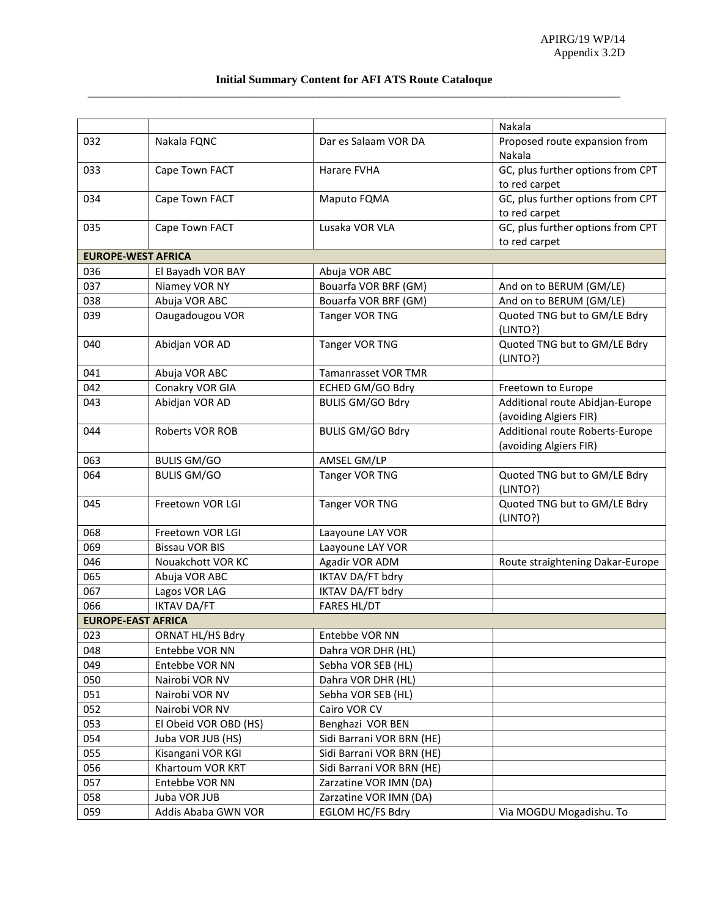#### **Initial Summary Content for AFI ATS Route Cataloque**  \_\_\_\_\_\_\_\_\_\_\_\_\_\_\_\_\_\_\_\_\_\_\_\_\_\_\_\_\_\_\_\_\_\_\_\_\_\_\_\_\_\_\_\_\_\_\_\_\_\_\_\_\_\_\_\_\_\_\_\_\_\_\_\_\_\_\_\_\_\_\_\_\_\_\_\_\_\_\_\_\_\_\_\_\_\_\_\_\_\_\_\_

|                           |                        |                            | Nakala                                   |
|---------------------------|------------------------|----------------------------|------------------------------------------|
| 032                       | Nakala FQNC            | Dar es Salaam VOR DA       | Proposed route expansion from            |
|                           |                        |                            | Nakala                                   |
| 033                       | Cape Town FACT         | Harare FVHA                | GC, plus further options from CPT        |
|                           |                        |                            | to red carpet                            |
| 034                       | Cape Town FACT         | Maputo FQMA                | GC, plus further options from CPT        |
|                           |                        |                            | to red carpet                            |
| 035                       | Cape Town FACT         | Lusaka VOR VLA             | GC, plus further options from CPT        |
|                           |                        |                            | to red carpet                            |
| <b>EUROPE-WEST AFRICA</b> |                        |                            |                                          |
| 036                       | El Bayadh VOR BAY      | Abuja VOR ABC              |                                          |
| 037                       | Niamey VOR NY          | Bouarfa VOR BRF (GM)       | And on to BERUM (GM/LE)                  |
| 038                       | Abuja VOR ABC          | Bouarfa VOR BRF (GM)       | And on to BERUM (GM/LE)                  |
| 039                       | Oaugadougou VOR        | Tanger VOR TNG             | Quoted TNG but to GM/LE Bdry             |
|                           |                        |                            | (LINTO?)                                 |
| 040                       | Abidjan VOR AD         | Tanger VOR TNG             | Quoted TNG but to GM/LE Bdry             |
|                           |                        |                            | (LINTO?)                                 |
| 041                       | Abuja VOR ABC          | <b>Tamanrasset VOR TMR</b> |                                          |
| 042                       | Conakry VOR GIA        | ECHED GM/GO Bdry           | Freetown to Europe                       |
| 043                       | Abidjan VOR AD         | <b>BULIS GM/GO Bdry</b>    | Additional route Abidjan-Europe          |
|                           |                        |                            | (avoiding Algiers FIR)                   |
| 044                       | <b>Roberts VOR ROB</b> | <b>BULIS GM/GO Bdry</b>    | Additional route Roberts-Europe          |
|                           |                        |                            | (avoiding Algiers FIR)                   |
| 063                       | <b>BULIS GM/GO</b>     | AMSEL GM/LP                |                                          |
| 064                       | <b>BULIS GM/GO</b>     | Tanger VOR TNG             | Quoted TNG but to GM/LE Bdry<br>(LINTO?) |
| 045                       | Freetown VOR LGI       | Tanger VOR TNG             | Quoted TNG but to GM/LE Bdry             |
|                           |                        |                            | (LINTO?)                                 |
| 068                       | Freetown VOR LGI       | Laayoune LAY VOR           |                                          |
| 069                       | <b>Bissau VOR BIS</b>  | Laayoune LAY VOR           |                                          |
| 046                       | Nouakchott VOR KC      | Agadir VOR ADM             | Route straightening Dakar-Europe         |
| 065                       | Abuja VOR ABC          | <b>IKTAV DA/FT bdry</b>    |                                          |
| 067                       | Lagos VOR LAG          | <b>IKTAV DA/FT bdry</b>    |                                          |
| 066                       | <b>IKTAV DA/FT</b>     | <b>FARES HL/DT</b>         |                                          |
| <b>EUROPE-EAST AFRICA</b> |                        |                            |                                          |
| 023                       | ORNAT HL/HS Bdry       | Entebbe VOR NN             |                                          |
| 048                       | Entebbe VOR NN         | Dahra VOR DHR (HL)         |                                          |
| 049                       | Entebbe VOR NN         | Sebha VOR SEB (HL)         |                                          |
| 050                       | Nairobi VOR NV         | Dahra VOR DHR (HL)         |                                          |
| 051                       | Nairobi VOR NV         | Sebha VOR SEB (HL)         |                                          |
| 052                       | Nairobi VOR NV         | Cairo VOR CV               |                                          |
| 053                       | El Obeid VOR OBD (HS)  | Benghazi VOR BEN           |                                          |
| 054                       | Juba VOR JUB (HS)      | Sidi Barrani VOR BRN (HE)  |                                          |
| 055                       | Kisangani VOR KGI      | Sidi Barrani VOR BRN (HE)  |                                          |
| 056                       | Khartoum VOR KRT       | Sidi Barrani VOR BRN (HE)  |                                          |
| 057                       | Entebbe VOR NN         | Zarzatine VOR IMN (DA)     |                                          |
| 058                       | Juba VOR JUB           | Zarzatine VOR IMN (DA)     |                                          |
| 059                       | Addis Ababa GWN VOR    | <b>EGLOM HC/FS Bdry</b>    | Via MOGDU Mogadishu. To                  |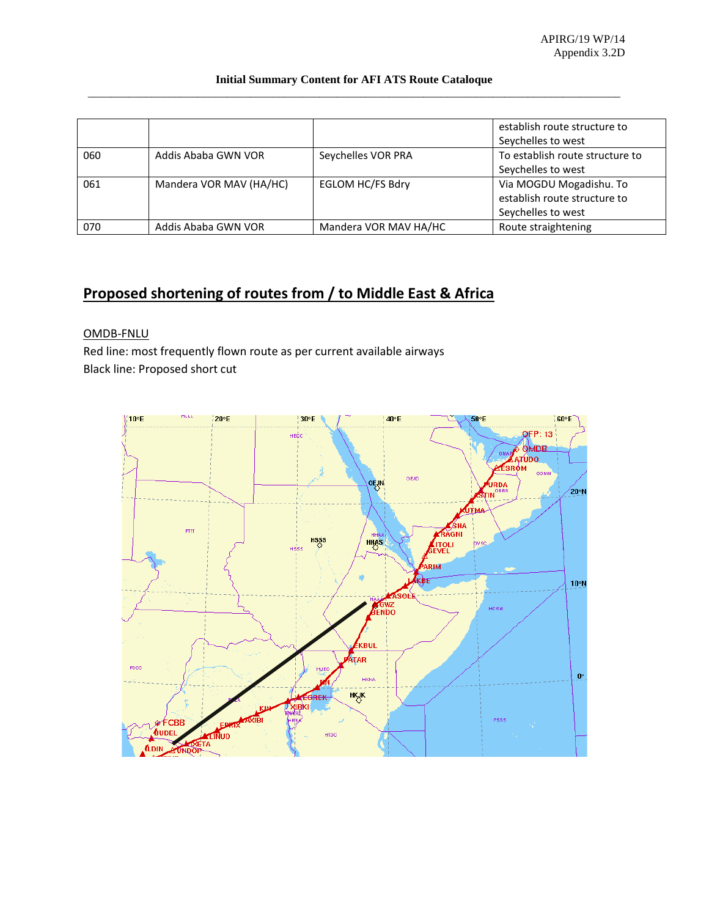#### **Initial Summary Content for AFI ATS Route Cataloque**  \_\_\_\_\_\_\_\_\_\_\_\_\_\_\_\_\_\_\_\_\_\_\_\_\_\_\_\_\_\_\_\_\_\_\_\_\_\_\_\_\_\_\_\_\_\_\_\_\_\_\_\_\_\_\_\_\_\_\_\_\_\_\_\_\_\_\_\_\_\_\_\_\_\_\_\_\_\_\_\_\_\_\_\_\_\_\_\_\_\_\_\_

|     |                         |                         | establish route structure to<br>Seychelles to west |
|-----|-------------------------|-------------------------|----------------------------------------------------|
| 060 | Addis Ababa GWN VOR     | Seychelles VOR PRA      | To establish route structure to                    |
|     |                         |                         | Seychelles to west                                 |
| 061 | Mandera VOR MAV (HA/HC) | <b>EGLOM HC/FS Bdry</b> | Via MOGDU Mogadishu. To                            |
|     |                         |                         | establish route structure to                       |
|     |                         |                         | Seychelles to west                                 |
| 070 | Addis Ababa GWN VOR     | Mandera VOR MAV HA/HC   | Route straightening                                |

# **Proposed shortening of routes from / to Middle East & Africa**

#### OMDB-FNLU

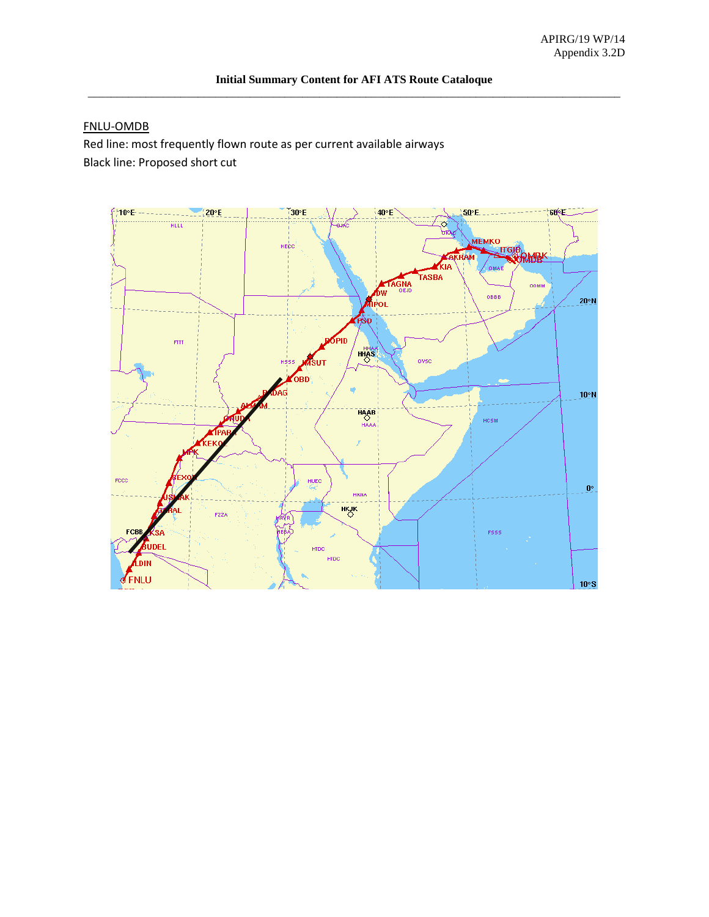#### FNLU-OMDB

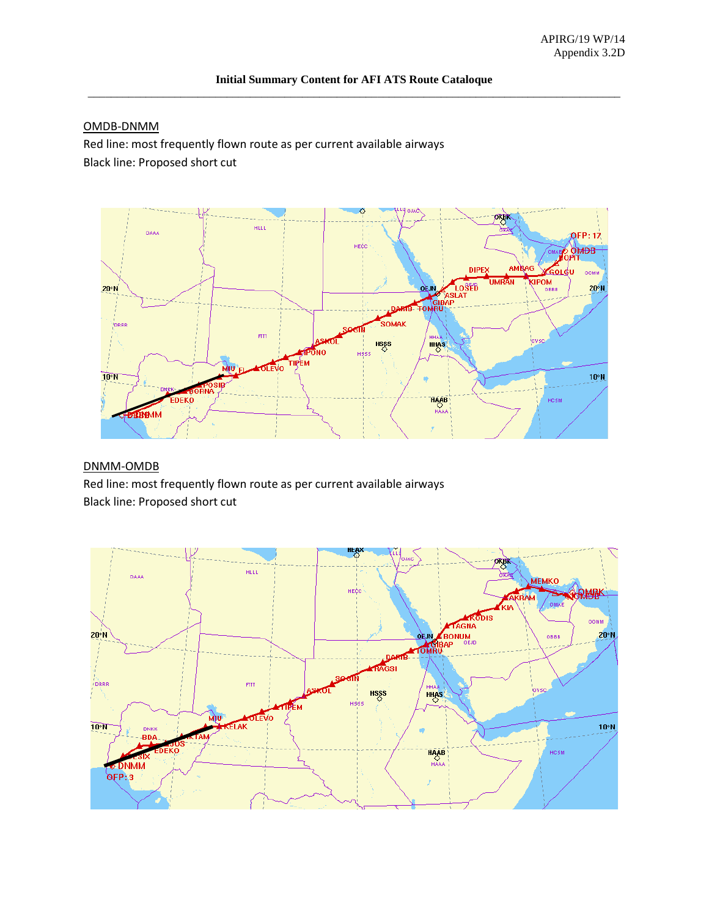# OMDB-DNMM

Red line: most frequently flown route as per current available airways Black line: Proposed short cut



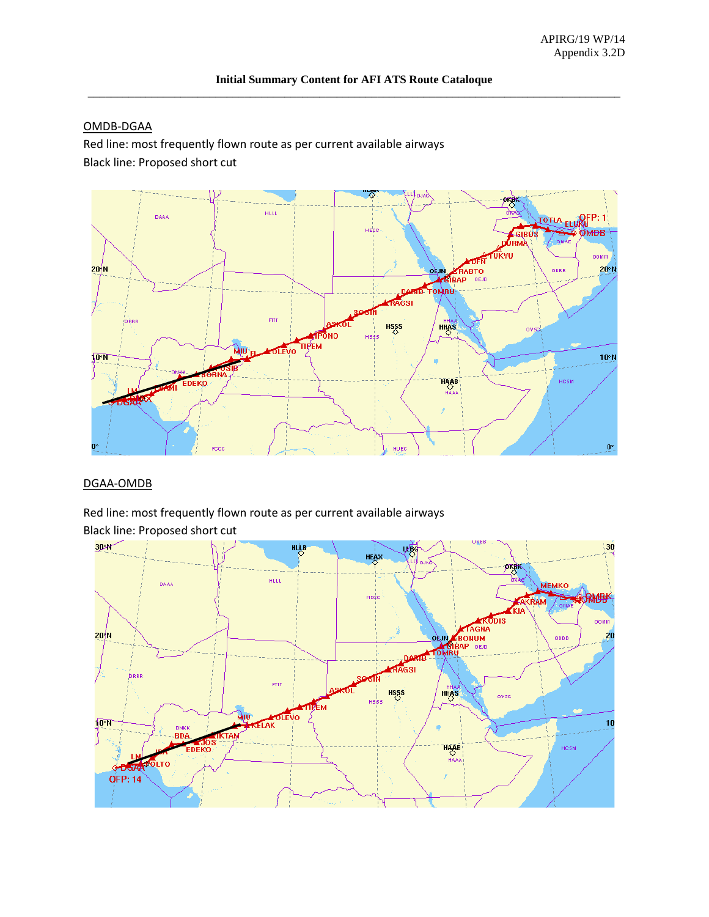# OMDB-DGAA

Red line: most frequently flown route as per current available airways Black line: Proposed short cut



# DGAA-OMDB

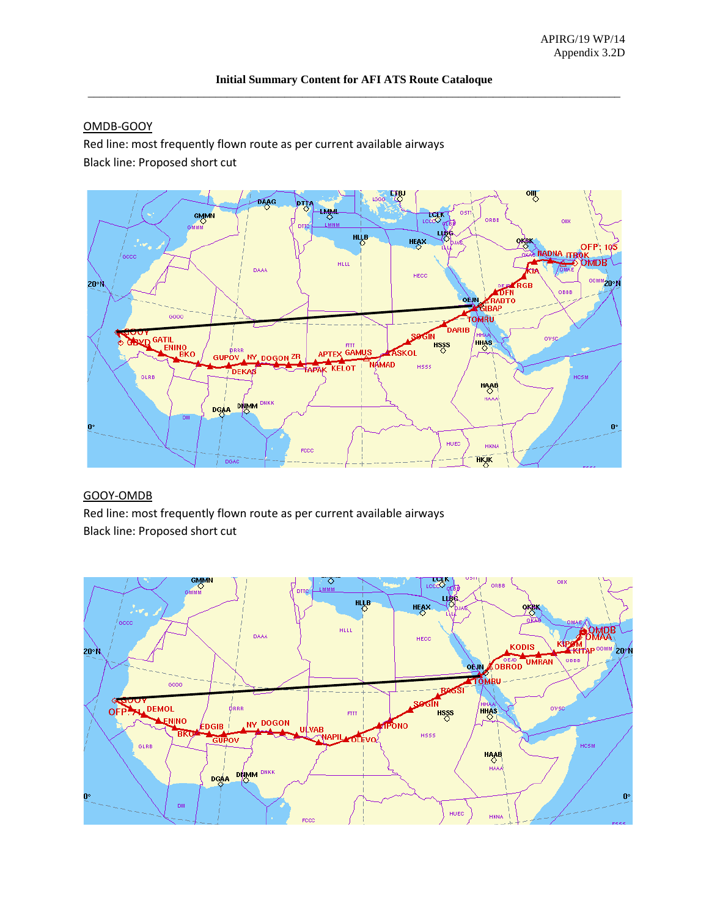# OMDB-GOOY

Red line: most frequently flown route as per current available airways Black line: Proposed short cut



#### GOOY-OMDB

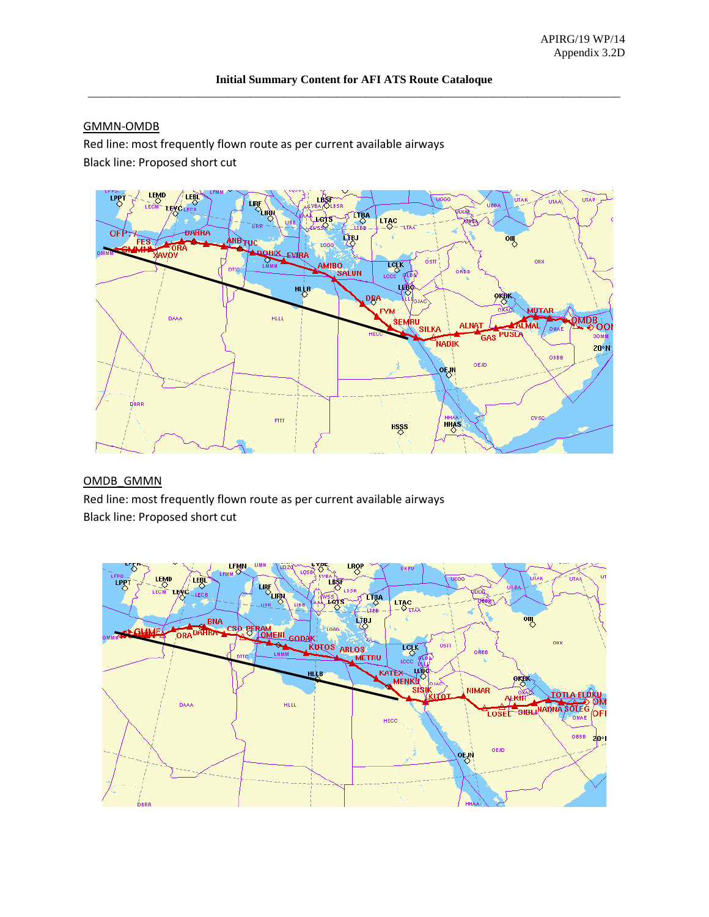# GMMN-OMDB

Red line: most frequently flown route as per current available airways Black line: Proposed short cut



#### OMDB\_GMMN

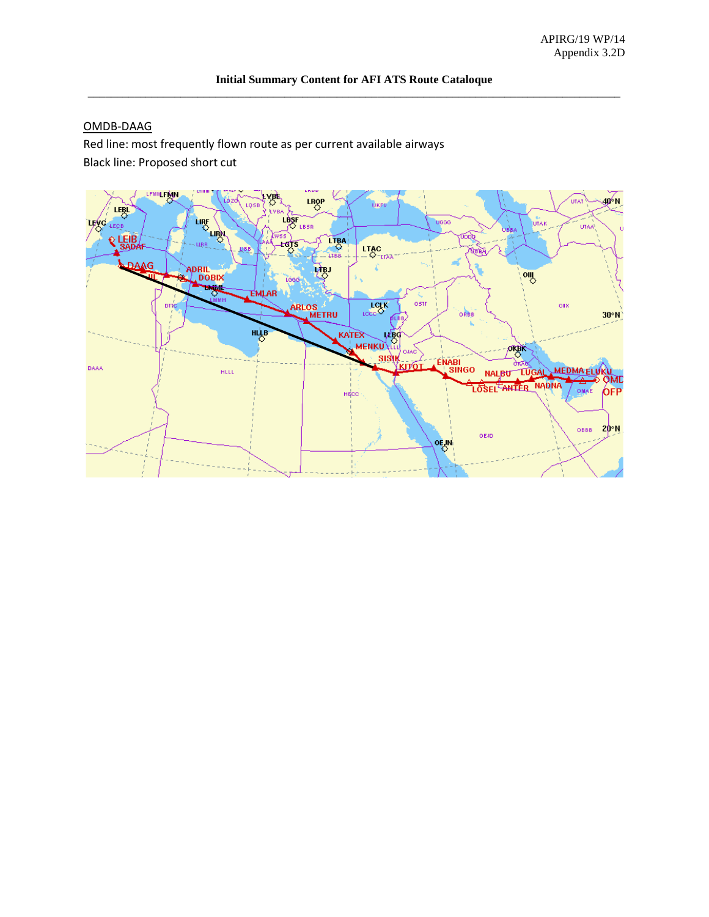### OMDB-DAAG

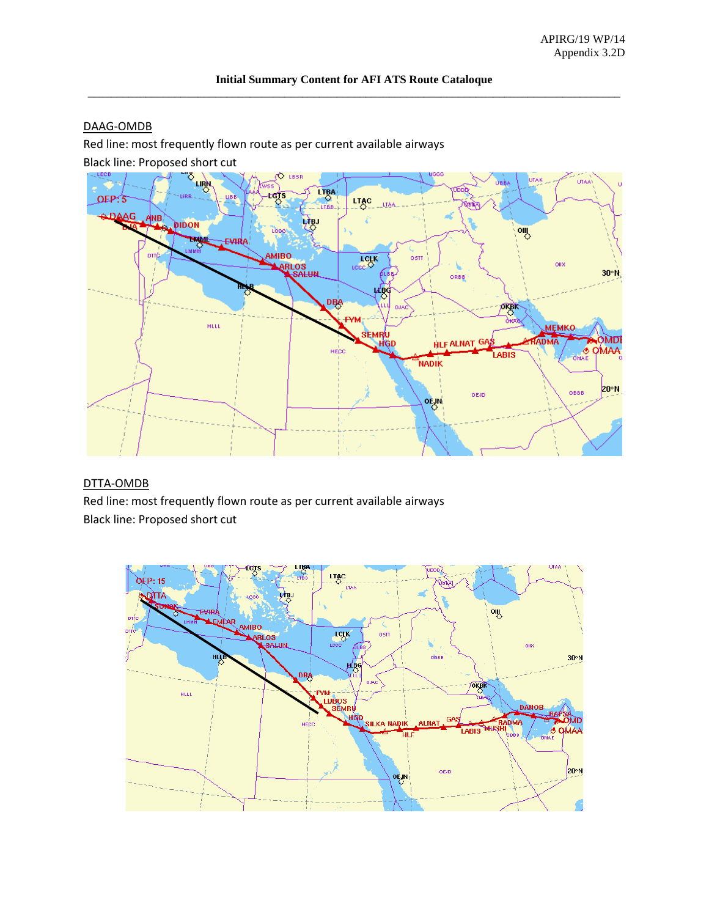# DAAG-OMDB

Red line: most frequently flown route as per current available airways

Black line: Proposed short cut



# DTTA-OMDB

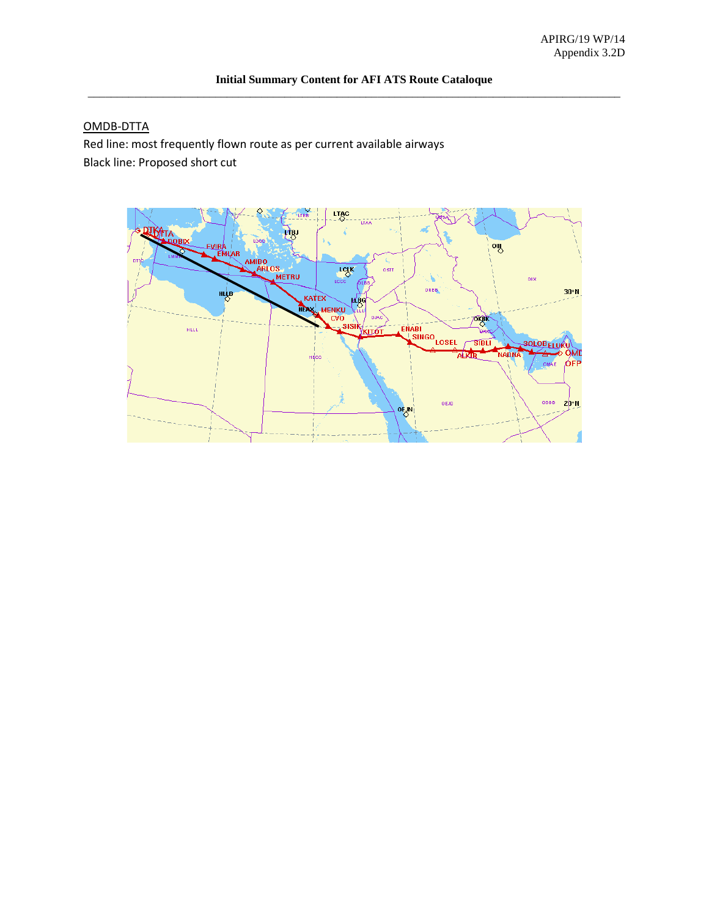# OMDB-DTTA

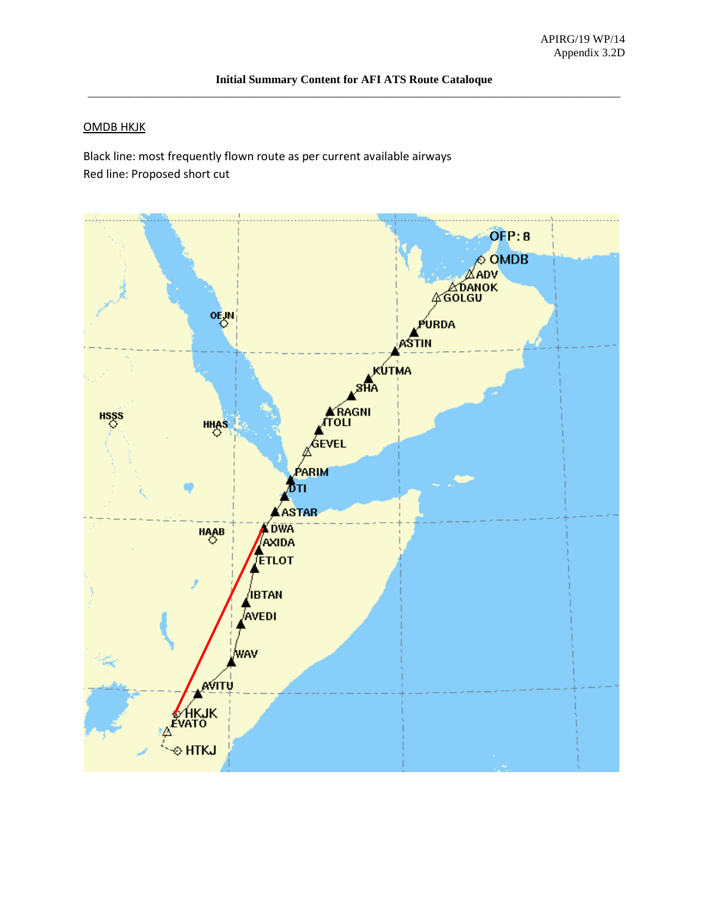#### OMDB HKJK

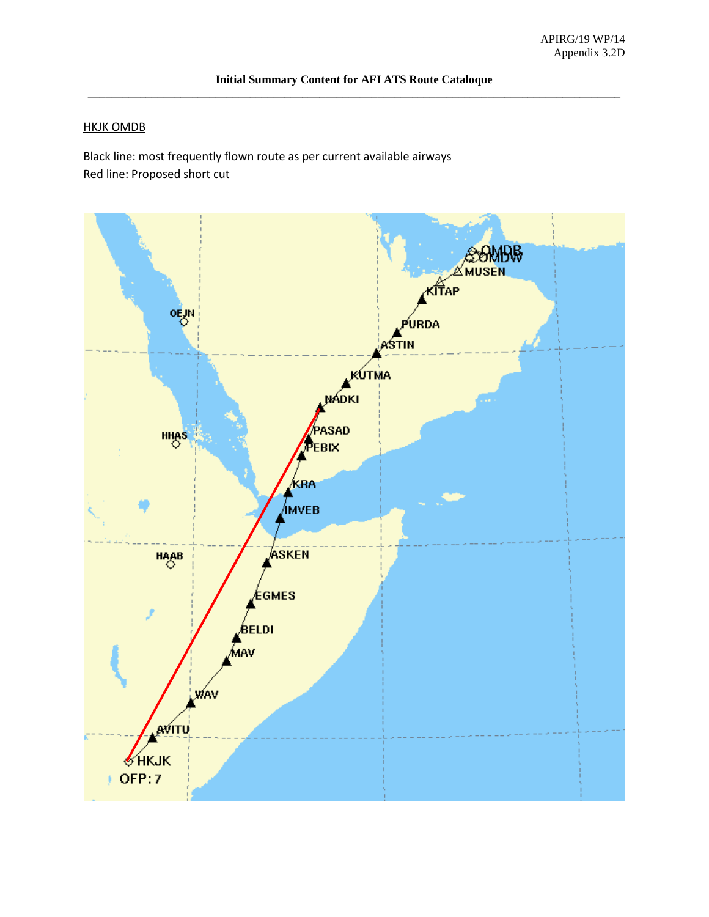#### HKJK OMDB